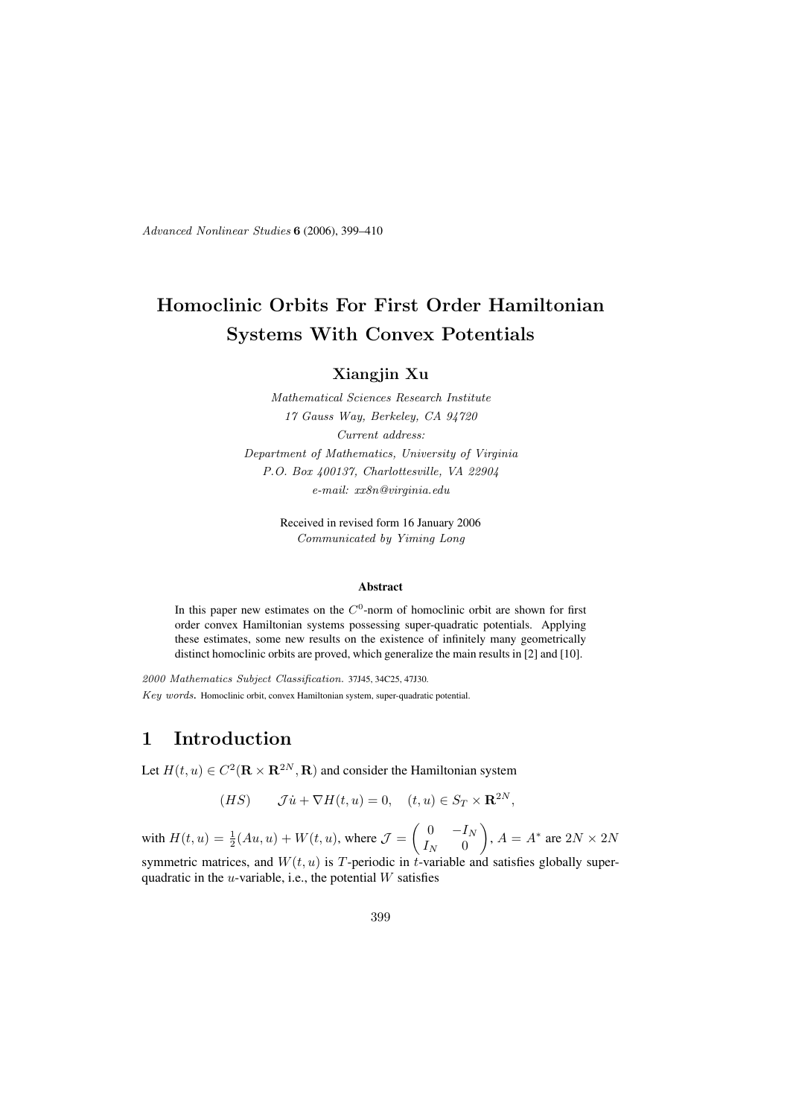Advanced Nonlinear Studies 6 (2006), 399–410

# Homoclinic Orbits For First Order Hamiltonian Systems With Convex Potentials

Xiangjin Xu

Mathematical Sciences Research Institute 17 Gauss Way, Berkeley, CA 94720 Current address: Department of Mathematics, University of Virginia P.O. Box 400137, Charlottesville, VA 22904 e-mail: xx8n@virginia.edu

> Received in revised form 16 January 2006 Communicated by Yiming Long

#### Abstract

In this paper new estimates on the  $C^0$ -norm of homoclinic orbit are shown for first order convex Hamiltonian systems possessing super-quadratic potentials. Applying these estimates, some new results on the existence of infinitely many geometrically distinct homoclinic orbits are proved, which generalize the main results in [2] and [10].

2000 Mathematics Subject Classification. 37J45, 34C25, 47J30. Key words. Homoclinic orbit, convex Hamiltonian system, super-quadratic potential.

# 1 Introduction

Let  $H(t, u) \in C^2(\mathbf{R} \times \mathbf{R}^{2N}, \mathbf{R})$  and consider the Hamiltonian system

$$
(HS) \qquad \mathcal{J}\dot{u} + \nabla H(t, u) = 0, \quad (t, u) \in S_T \times \mathbf{R}^{2N},
$$

with  $H(t, u) = \frac{1}{2}(Au, u) + W(t, u)$ , where  $\mathcal{J} = \begin{pmatrix} 0 & -I_N \\ I_N & 0 \end{pmatrix}$  $I_N$  0  $\bigg), A = A^*$  are  $2N \times 2N$ symmetric matrices, and  $W(t, u)$  is T-periodic in t-variable and satisfies globally superquadratic in the  $u$ -variable, i.e., the potential  $W$  satisfies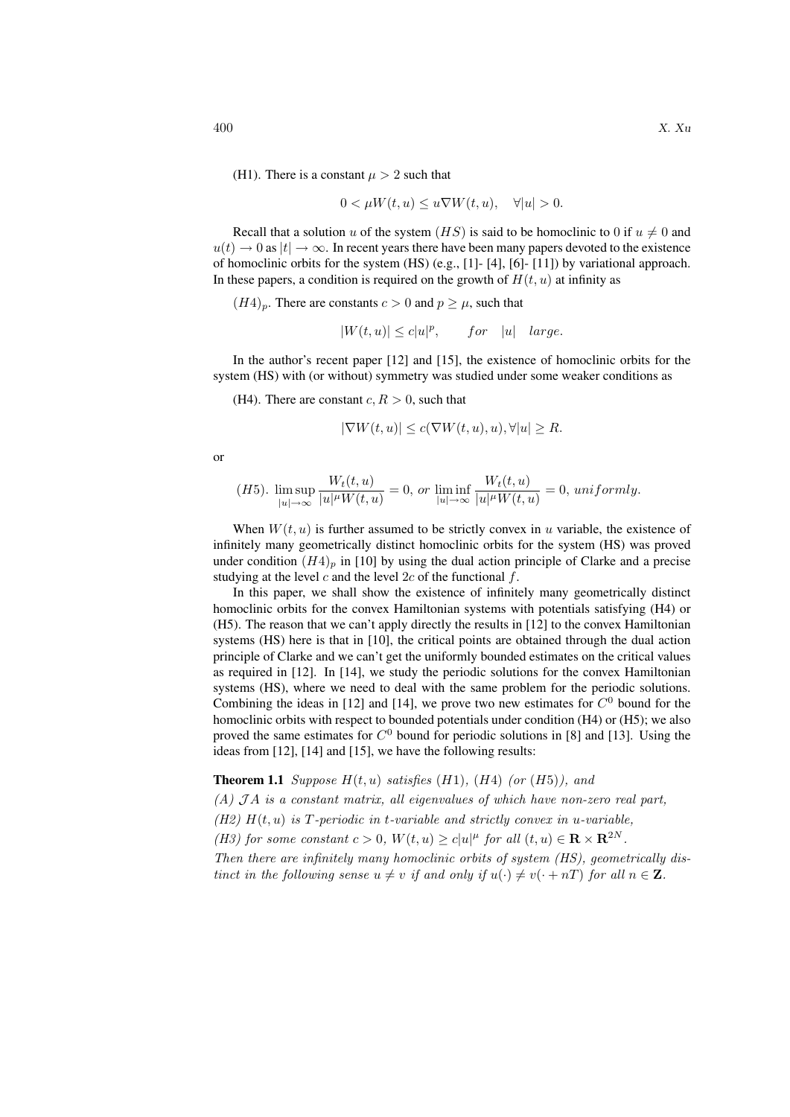(H1). There is a constant  $\mu > 2$  such that

$$
0 < \mu W(t, u) \le u \nabla W(t, u), \quad \forall |u| > 0.
$$

Recall that a solution u of the system  $(HS)$  is said to be homoclinic to 0 if  $u \neq 0$  and  $u(t) \rightarrow 0$  as  $|t| \rightarrow \infty$ . In recent years there have been many papers devoted to the existence of homoclinic orbits for the system  $(HS)$  (e.g., [1]-[4], [6]-[11]) by variational approach. In these papers, a condition is required on the growth of  $H(t, u)$  at infinity as

 $(H4)_p$ . There are constants  $c > 0$  and  $p \ge \mu$ , such that

$$
|W(t, u)| \le c|u|^p, \qquad for \quad |u| \quad large.
$$

In the author's recent paper [12] and [15], the existence of homoclinic orbits for the system (HS) with (or without) symmetry was studied under some weaker conditions as

(H4). There are constant  $c, R > 0$ , such that

$$
|\nabla W(t, u)| \le c(\nabla W(t, u), u), \forall |u| \ge R.
$$

or

(H5). 
$$
\limsup_{|u|\to\infty} \frac{W_t(t,u)}{|u|^{\mu}W(t,u)} = 0, \text{ or } \liminf_{|u|\to\infty} \frac{W_t(t,u)}{|u|^{\mu}W(t,u)} = 0, \text{ uniformly.}
$$

When  $W(t, u)$  is further assumed to be strictly convex in u variable, the existence of infinitely many geometrically distinct homoclinic orbits for the system (HS) was proved under condition  $(H4)_p$  in [10] by using the dual action principle of Clarke and a precise studying at the level c and the level  $2c$  of the functional f.

In this paper, we shall show the existence of infinitely many geometrically distinct homoclinic orbits for the convex Hamiltonian systems with potentials satisfying (H4) or (H5). The reason that we can't apply directly the results in [12] to the convex Hamiltonian systems (HS) here is that in [10], the critical points are obtained through the dual action principle of Clarke and we can't get the uniformly bounded estimates on the critical values as required in [12]. In [14], we study the periodic solutions for the convex Hamiltonian systems (HS), where we need to deal with the same problem for the periodic solutions. Combining the ideas in [12] and [14], we prove two new estimates for  $C^0$  bound for the homoclinic orbits with respect to bounded potentials under condition (H4) or (H5); we also proved the same estimates for  $C^0$  bound for periodic solutions in [8] and [13]. Using the ideas from [12], [14] and [15], we have the following results:

**Theorem 1.1** Suppose  $H(t, u)$  satisfies (H1), (H4) (or (H5)), and  $(A)$  JA is a constant matrix, all eigenvalues of which have non-zero real part, (H2)  $H(t, u)$  is T-periodic in t-variable and strictly convex in u-variable, (H3) for some constant  $c > 0$ ,  $W(t, u) \geq c |u|^{\mu}$  for all  $(t, u) \in \mathbf{R} \times \mathbf{R}^{2N}$ . Then there are infinitely many homoclinic orbits of system (HS), geometrically dis-

tinct in the following sense  $u \neq v$  if and only if  $u(\cdot) \neq v(\cdot + nT)$  for all  $n \in \mathbb{Z}$ .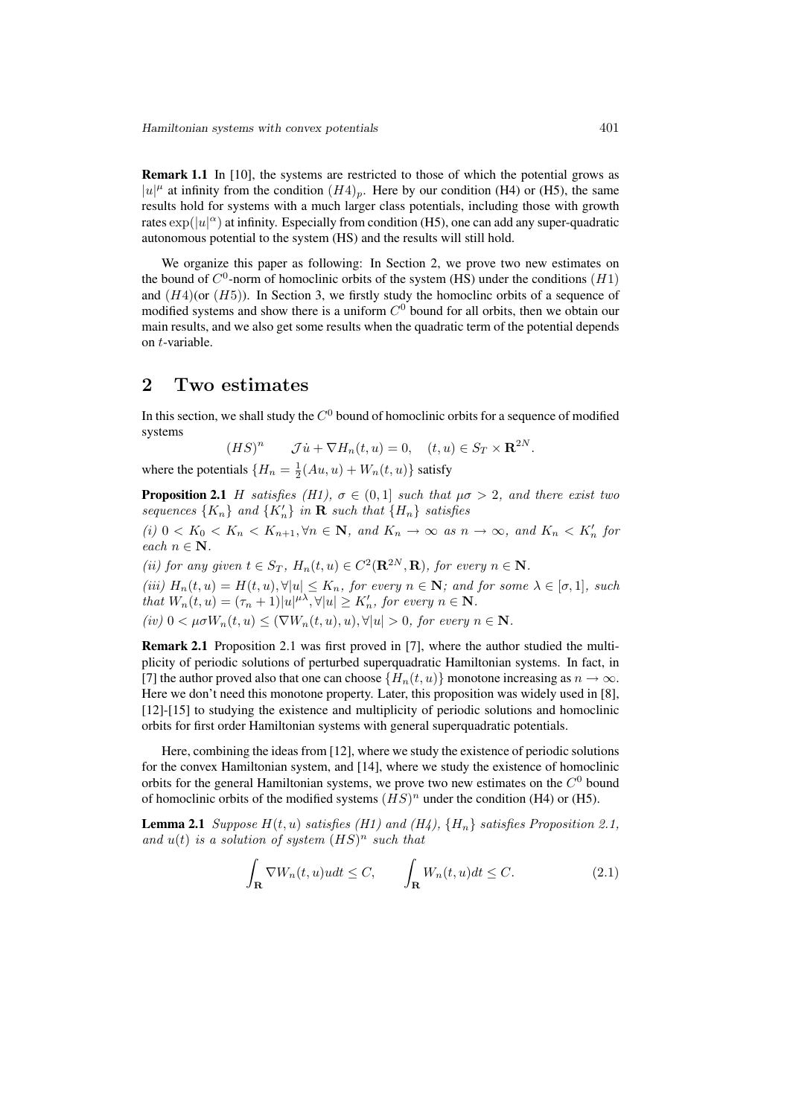Remark 1.1 In [10], the systems are restricted to those of which the potential grows as  $|u|^{\mu}$  at infinity from the condition  $(H4)_p$ . Here by our condition (H4) or (H5), the same results hold for systems with a much larger class potentials, including those with growth rates  $\exp(|u|^{\alpha})$  at infinity. Especially from condition (H5), one can add any super-quadratic autonomous potential to the system (HS) and the results will still hold.

We organize this paper as following: In Section 2, we prove two new estimates on the bound of  $C^0$ -norm of homoclinic orbits of the system (HS) under the conditions  $(H1)$ and  $(H4)$ (or  $(H5)$ ). In Section 3, we firstly study the homoclinc orbits of a sequence of modified systems and show there is a uniform  $C<sup>0</sup>$  bound for all orbits, then we obtain our main results, and we also get some results when the quadratic term of the potential depends on t-variable.

### 2 Two estimates

In this section, we shall study the  $C^0$  bound of homoclinic orbits for a sequence of modified systems

$$
(HS)^n \qquad \mathcal{J}\dot{u} + \nabla H_n(t, u) = 0, \quad (t, u) \in S_T \times \mathbf{R}^{2N}.
$$

where the potentials  $\{H_n = \frac{1}{2}(Au, u) + W_n(t, u)\}$  satisfy

**Proposition 2.1** H satisfies (H1),  $\sigma \in (0,1]$  such that  $\mu\sigma > 2$ , and there exist two sequences  $\{K_n\}$  and  $\{K'_n\}$  in **R** such that  $\{H_n\}$  satisfies

(i)  $0 < K_0 < K_n < K_{n+1}, \forall n \in \mathbb{N}$ , and  $K_n \to \infty$  as  $n \to \infty$ , and  $K_n < K'_n$  for each  $n \in \mathbb{N}$ .

(ii) for any given  $t \in S_T$ ,  $H_n(t, u) \in C^2(\mathbf{R}^{2N}, \mathbf{R})$ , for every  $n \in \mathbf{N}$ .

(iii)  $H_n(t, u) = H(t, u), \forall |u| \leq K_n$ , for every  $n \in \mathbb{N}$ ; and for some  $\lambda \in [\sigma, 1]$ , such that  $W_n(t, u) = (\tau_n + 1)|u|^{\mu \lambda}, \forall |u| \ge K'_n$ , for every  $n \in \mathbb{N}$ .

(iv)  $0 < \mu \sigma W_n(t, u) < (\nabla W_n(t, u), u), \forall |u| > 0$ , for every  $n \in \mathbb{N}$ .

Remark 2.1 Proposition 2.1 was first proved in [7], where the author studied the multiplicity of periodic solutions of perturbed superquadratic Hamiltonian systems. In fact, in [7] the author proved also that one can choose  $\{H_n(t, u)\}\$  monotone increasing as  $n \to \infty$ . Here we don't need this monotone property. Later, this proposition was widely used in [8], [12]-[15] to studying the existence and multiplicity of periodic solutions and homoclinic orbits for first order Hamiltonian systems with general superquadratic potentials.

Here, combining the ideas from [12], where we study the existence of periodic solutions for the convex Hamiltonian system, and [14], where we study the existence of homoclinic orbits for the general Hamiltonian systems, we prove two new estimates on the  $C^0$  bound of homoclinic orbits of the modified systems  $(HS)^n$  under the condition (H4) or (H5).

**Lemma 2.1** Suppose  $H(t, u)$  satisfies (H1) and (H4),  $\{H_n\}$  satisfies Proposition 2.1, and  $u(t)$  is a solution of system  $(HS)^n$  such that

$$
\int_{\mathbf{R}} \nabla W_n(t, u)u dt \le C, \qquad \int_{\mathbf{R}} W_n(t, u)dt \le C.
$$
\n(2.1)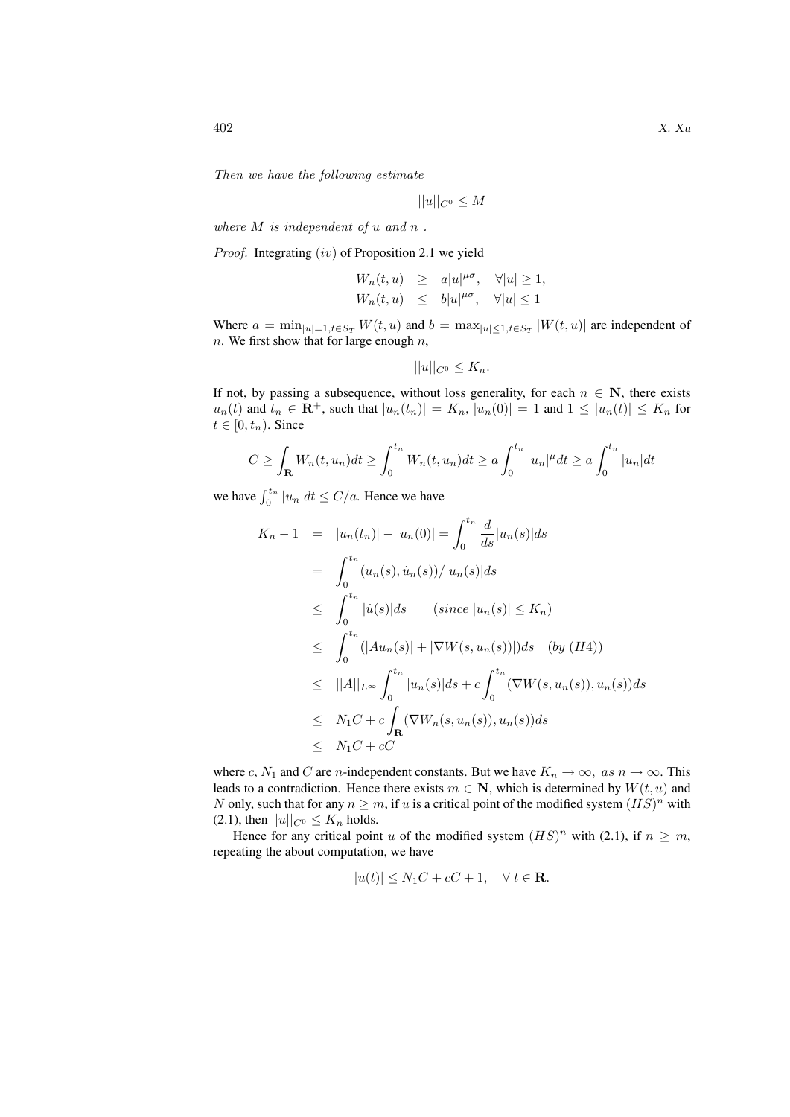Then we have the following estimate

$$
||u||_{C^0} \le M
$$

where  $M$  is independent of  $u$  and  $n$ .

Proof. Integrating (iv) of Proposition 2.1 we yield

$$
\label{eq:2.1} \begin{array}{rcl} W_n(t,u) & \geq & a |u|^{\mu\sigma}, \quad \forall |u| \geq 1, \\[3mm] W_n(t,u) & \leq & b |u|^{\mu\sigma}, \quad \forall |u| \leq 1 \end{array}
$$

Where  $a = \min_{|u|=1, t \in S_T} W(t, u)$  and  $b = \max_{|u| \le 1, t \in S_T} |W(t, u)|$  are independent of  $n.$  We first show that for large enough  $n,$ 

$$
||u||_{C^0} \leq K_n.
$$

If not, by passing a subsequence, without loss generality, for each  $n \in \mathbb{N}$ , there exists  $u_n(t)$  and  $t_n \in \mathbf{R}^+$ , such that  $|u_n(t_n)| = K_n$ ,  $|u_n(0)| = 1$  and  $1 \leq |u_n(t)| \leq K_n$  for  $t \in [0, t_n)$ . Since

$$
C \geq \int_{\mathbf{R}} W_n(t, u_n) dt \geq \int_0^{t_n} W_n(t, u_n) dt \geq a \int_0^{t_n} |u_n|^\mu dt \geq a \int_0^{t_n} |u_n| dt
$$

we have  $\int_0^{t_n} |u_n|dt \le C/a$ . Hence we have

$$
K_n - 1 = |u_n(t_n)| - |u_n(0)| = \int_0^{t_n} \frac{d}{ds} |u_n(s)| ds
$$
  
\n
$$
= \int_0^{t_n} (u_n(s), \dot{u}_n(s)) / |u_n(s)| ds
$$
  
\n
$$
\leq \int_0^{t_n} |\dot{u}(s)| ds \quad (since |u_n(s)| \leq K_n)
$$
  
\n
$$
\leq \int_0^{t_n} (|Au_n(s)| + |\nabla W(s, u_n(s))|) ds \quad (by (H4))
$$
  
\n
$$
\leq ||A||_{L^{\infty}} \int_0^{t_n} |u_n(s)| ds + c \int_0^{t_n} (\nabla W(s, u_n(s)), u_n(s)) ds
$$
  
\n
$$
\leq N_1 C + c \int_{\mathbf{R}} (\nabla W_n(s, u_n(s)), u_n(s)) ds
$$
  
\n
$$
\leq N_1 C + c C
$$

where c,  $N_1$  and C are n-independent constants. But we have  $K_n \to \infty$ , as  $n \to \infty$ . This leads to a contradiction. Hence there exists  $m \in \mathbb{N}$ , which is determined by  $W(t, u)$  and N only, such that for any  $n \geq m$ , if u is a critical point of the modified system  $(HS)^n$  with (2.1), then  $||u||_{C^0} \leq K_n$  holds.

Hence for any critical point u of the modified system  $(HS)^n$  with (2.1), if  $n \geq m$ , repeating the about computation, we have

$$
|u(t)| \le N_1C + cC + 1, \quad \forall \ t \in \mathbf{R}.
$$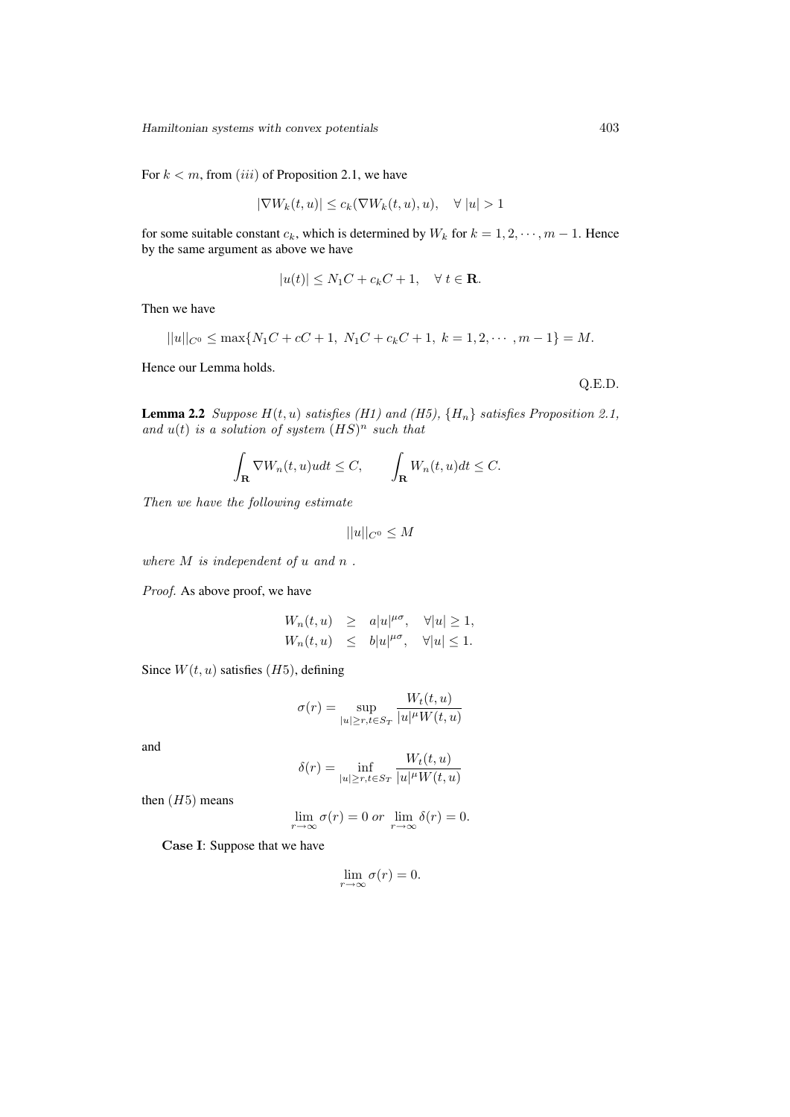Hamiltonian systems with convex potentials 403

For  $k < m$ , from *(iii)* of Proposition 2.1, we have

$$
|\nabla W_k(t, u)| \le c_k(\nabla W_k(t, u), u), \quad \forall |u| > 1
$$

for some suitable constant  $c_k$ , which is determined by  $W_k$  for  $k = 1, 2, \dots, m - 1$ . Hence by the same argument as above we have

$$
|u(t)| \le N_1C + c_kC + 1, \quad \forall \ t \in \mathbf{R}.
$$

Then we have

$$
||u||_{C^0} \le \max\{N_1C + cC + 1, N_1C + c_kC + 1, k = 1, 2, \cdots, m - 1\} = M.
$$

Hence our Lemma holds.

Q.E.D.

**Lemma 2.2** Suppose  $H(t, u)$  satisfies (H1) and (H5),  $\{H_n\}$  satisfies Proposition 2.1, and  $u(t)$  is a solution of system  $(HS)^n$  such that

$$
\int_{\mathbf{R}} \nabla W_n(t, u)u dt \le C, \qquad \int_{\mathbf{R}} W_n(t, u)dt \le C.
$$

Then we have the following estimate

$$
||u||_{C^0} \le M
$$

where  $M$  is independent of  $u$  and  $n$ .

Proof. As above proof, we have

$$
\label{eq:2.1} \begin{array}{rcl} W_n(t,u) & \geq & a |u|^{\mu\sigma}, \quad \forall |u| \geq 1, \\ W_n(t,u) & \leq & b |u|^{\mu\sigma}, \quad \forall |u| \leq 1. \end{array}
$$

Since  $W(t, u)$  satisfies (*H*5), defining

$$
\sigma(r) = \sup_{|u| \ge r, t \in S_T} \frac{W_t(t, u)}{|u|^{\mu} W(t, u)}
$$

and

$$
\delta(r) = \inf_{|u| \ge r, t \in S_T} \frac{W_t(t, u)}{|u|^{\mu} W(t, u)}
$$

then  $(H5)$  means

$$
\lim_{r \to \infty} \sigma(r) = 0 \text{ or } \lim_{r \to \infty} \delta(r) = 0.
$$

Case I: Suppose that we have

$$
\lim_{r \to \infty} \sigma(r) = 0.
$$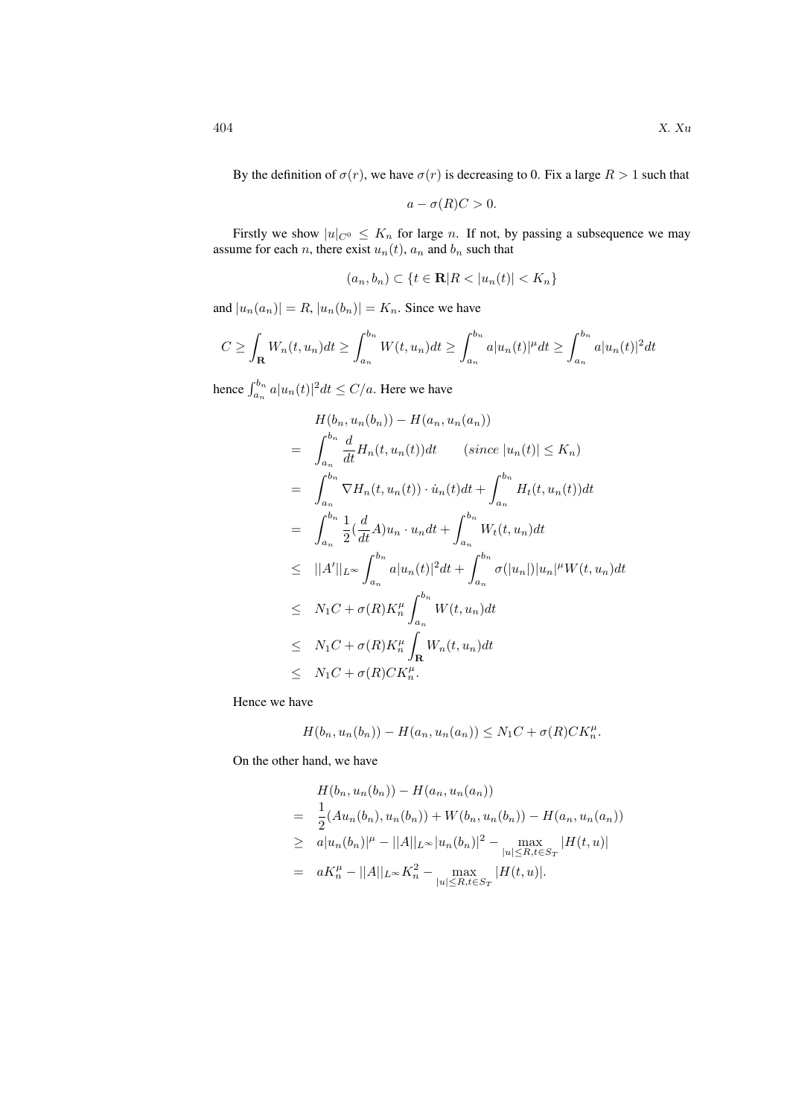By the definition of  $\sigma(r)$ , we have  $\sigma(r)$  is decreasing to 0. Fix a large  $R > 1$  such that

$$
a - \sigma(R)C > 0.
$$

Firstly we show  $|u|_{C^0} \leq K_n$  for large n. If not, by passing a subsequence we may assume for each *n*, there exist  $u_n(t)$ ,  $a_n$  and  $b_n$  such that

$$
(a_n, b_n) \subset \{t \in \mathbf{R} | R < |u_n(t)| < K_n\}
$$

and  $|u_n(a_n)| = R$ ,  $|u_n(b_n)| = K_n$ . Since we have

$$
C \geq \int_{\mathbf{R}} W_n(t, u_n) dt \geq \int_{a_n}^{b_n} W(t, u_n) dt \geq \int_{a_n}^{b_n} a|u_n(t)|^{\mu} dt \geq \int_{a_n}^{b_n} a|u_n(t)|^2 dt
$$

hence  $\int_{a_n}^{b_n} a |u_n(t)|^2 dt \le C/a$ . Here we have

$$
H(b_n, u_n(b_n)) - H(a_n, u_n(a_n))
$$
  
\n
$$
= \int_{a_n}^{b_n} \frac{d}{dt} H_n(t, u_n(t)) dt \qquad (since \ |u_n(t)| \le K_n)
$$
  
\n
$$
= \int_{a_n}^{b_n} \nabla H_n(t, u_n(t)) \cdot \dot{u}_n(t) dt + \int_{a_n}^{b_n} H_t(t, u_n(t)) dt
$$
  
\n
$$
= \int_{a_n}^{b_n} \frac{1}{2} (\frac{d}{dt} A) u_n \cdot u_n dt + \int_{a_n}^{b_n} W_t(t, u_n) dt
$$
  
\n
$$
\le ||A'||_{L^{\infty}} \int_{a_n}^{b_n} a |u_n(t)|^2 dt + \int_{a_n}^{b_n} \sigma(|u_n|) |u_n|^{\mu} W(t, u_n) dt
$$
  
\n
$$
\le N_1 C + \sigma(R) K_n^{\mu} \int_{a_n}^{b_n} W(t, u_n) dt
$$
  
\n
$$
\le N_1 C + \sigma(R) K_n^{\mu} \int_{\mathbf{R}} W_n(t, u_n) dt
$$
  
\n
$$
\le N_1 C + \sigma(R) C K_n^{\mu}.
$$

Hence we have

$$
H(b_n, u_n(b_n)) - H(a_n, u_n(a_n)) \le N_1C + \sigma(R)CK_n^{\mu}.
$$

On the other hand, we have

$$
H(b_n, u_n(b_n)) - H(a_n, u_n(a_n))
$$
  
=  $\frac{1}{2}(Au_n(b_n), u_n(b_n)) + W(b_n, u_n(b_n)) - H(a_n, u_n(a_n))$   
 $\geq a|u_n(b_n)|^{\mu} - ||A||_{L^{\infty}}|u_n(b_n)|^2 - \max_{|u| \leq R, t \in S_T} |H(t, u)|$   
=  $aK_n^{\mu} - ||A||_{L^{\infty}}K_n^2 - \max_{|u| \leq R, t \in S_T} |H(t, u)|.$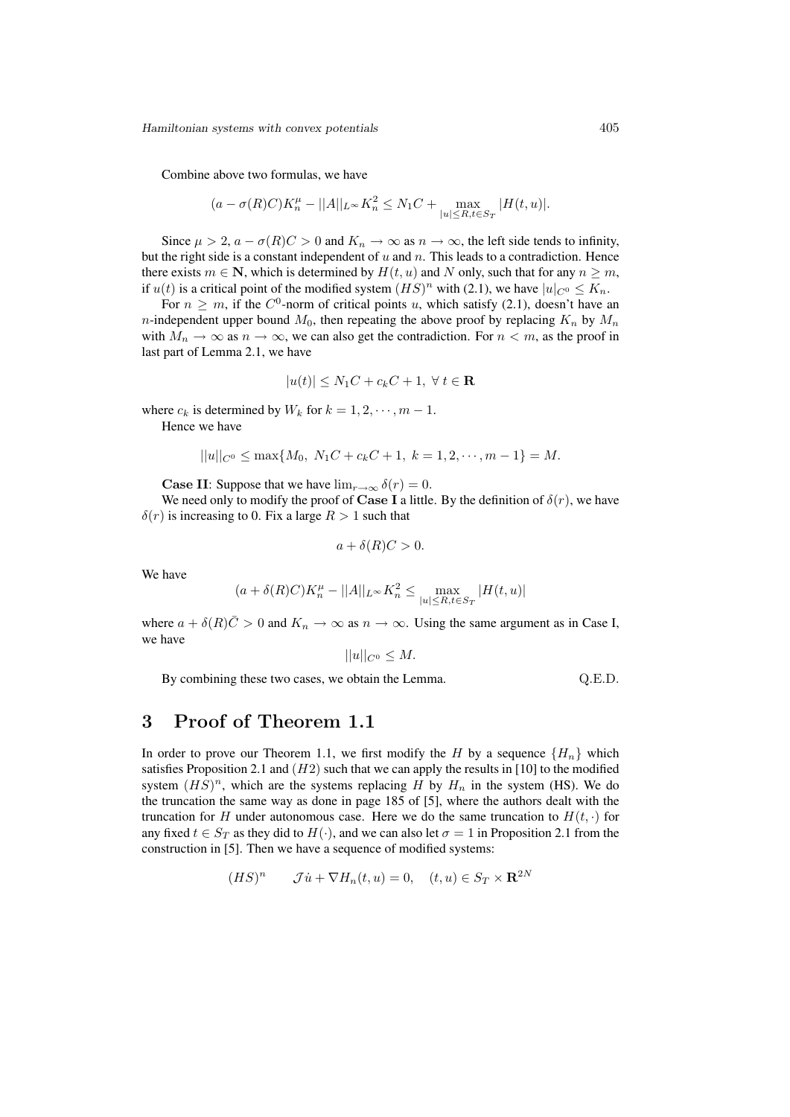Hamiltonian systems with convex potentials 405

Combine above two formulas, we have

$$
(a - \sigma(R)C)K_n^{\mu} - ||A||_{L^{\infty}}K_n^2 \le N_1C + \max_{|u| \le R, t \in S_T} |H(t, u)|.
$$

Since  $\mu > 2$ ,  $a - \sigma(R)C > 0$  and  $K_n \to \infty$  as  $n \to \infty$ , the left side tends to infinity, but the right side is a constant independent of  $u$  and  $n$ . This leads to a contradiction. Hence there exists  $m \in \mathbb{N}$ , which is determined by  $H(t, u)$  and N only, such that for any  $n \geq m$ , if  $u(t)$  is a critical point of the modified system  $(HS)^n$  with (2.1), we have  $|u|_{C^0} \leq K_n$ .

For  $n \geq m$ , if the  $C^0$ -norm of critical points u, which satisfy (2.1), doesn't have an *n*-independent upper bound  $M_0$ , then repeating the above proof by replacing  $K_n$  by  $M_n$ with  $M_n \to \infty$  as  $n \to \infty$ , we can also get the contradiction. For  $n < m$ , as the proof in last part of Lemma 2.1, we have

$$
|u(t)| \le N_1C + c_kC + 1, \ \forall \ t \in \mathbf{R}
$$

where  $c_k$  is determined by  $W_k$  for  $k = 1, 2, \dots, m - 1$ .

Hence we have

$$
||u||_{C^0} \le \max\{M_0, N_1C + c_kC + 1, k = 1, 2, \cdots, m - 1\} = M.
$$

**Case II:** Suppose that we have  $\lim_{r\to\infty} \delta(r) = 0$ .

We need only to modify the proof of Case I a little. By the definition of  $\delta(r)$ , we have  $\delta(r)$  is increasing to 0. Fix a large  $R > 1$  such that

$$
a + \delta(R)C > 0.
$$

We have

$$
(a+\delta(R)C)K_n^{\mu}-||A||_{L^{\infty}}K_n^2\leq \max_{|u|\leq R, t\in S_T}|H(t,u)|
$$

where  $a + \delta(R)\bar{C} > 0$  and  $K_n \to \infty$  as  $n \to \infty$ . Using the same argument as in Case I, we have

$$
||u||_{C^0} \leq M.
$$

By combining these two cases, we obtain the Lemma.  $Q.E.D.$ 

# 3 Proof of Theorem 1.1

In order to prove our Theorem 1.1, we first modify the H by a sequence  ${H_n}$  which satisfies Proposition 2.1 and  $(H2)$  such that we can apply the results in [10] to the modified system  $(HS)^n$ , which are the systems replacing H by  $H_n$  in the system (HS). We do the truncation the same way as done in page 185 of [5], where the authors dealt with the truncation for H under autonomous case. Here we do the same truncation to  $H(t, \cdot)$  for any fixed  $t \in S_T$  as they did to  $H(\cdot)$ , and we can also let  $\sigma = 1$  in Proposition 2.1 from the construction in [5]. Then we have a sequence of modified systems:

$$
(HS)^n \qquad \mathcal{J}\dot{u} + \nabla H_n(t, u) = 0, \quad (t, u) \in S_T \times \mathbf{R}^{2N}
$$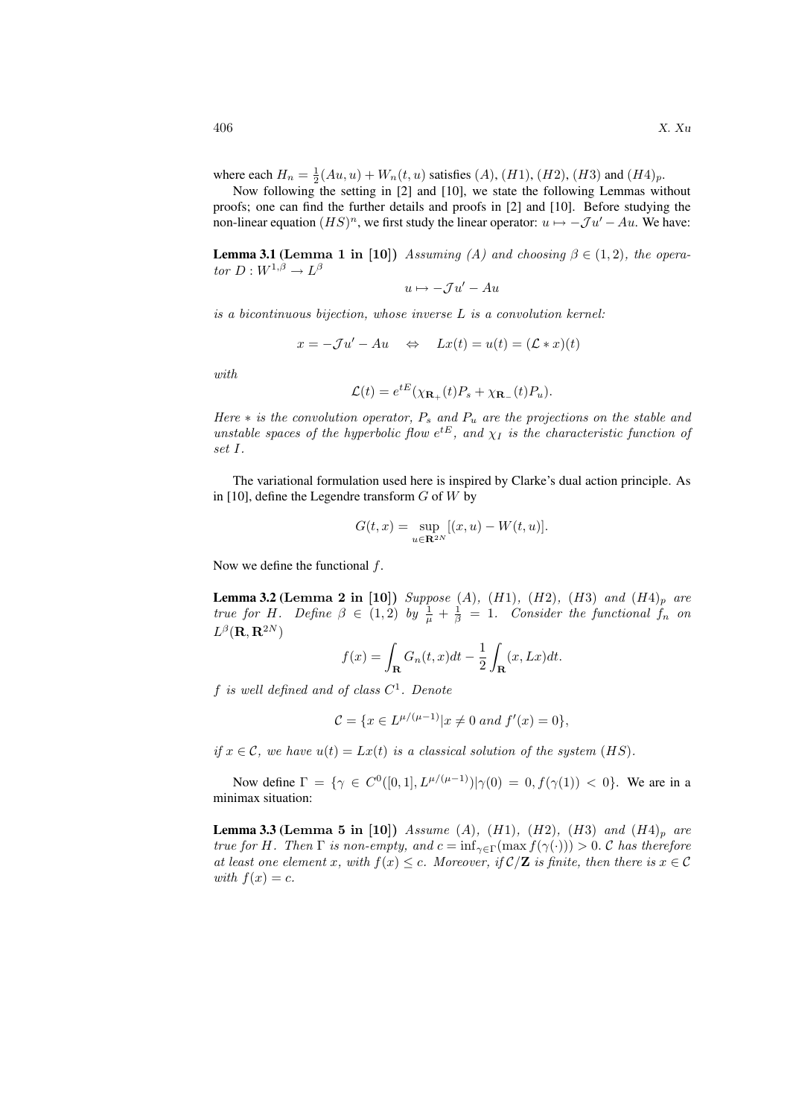where each  $H_n = \frac{1}{2}(Au, u) + W_n(t, u)$  satisfies  $(A)$ ,  $(H1)$ ,  $(H2)$ ,  $(H3)$  and  $(H4)_p$ .

Now following the setting in [2] and [10], we state the following Lemmas without proofs; one can find the further details and proofs in [2] and [10]. Before studying the non-linear equation  $(HS)^n$ , we first study the linear operator:  $u \mapsto -\mathcal{J}u' - Au$ . We have:

**Lemma 3.1 (Lemma 1 in [10])** Assuming (A) and choosing  $\beta \in (1, 2)$ , the operator  $D:W^{1,\beta}\to L^{\beta}$ 

$$
u\mapsto -\mathcal{J} u'-Au
$$

is a bicontinuous bijection, whose inverse L is a convolution kernel:

$$
x = -\mathcal{J}u' - Au \Leftrightarrow Lx(t) = u(t) = (\mathcal{L} * x)(t)
$$

with

$$
\mathcal{L}(t) = e^{tE}(\chi_{\mathbf{R}_+}(t)P_s + \chi_{\mathbf{R}_-}(t)P_u).
$$

Here  $*$  is the convolution operator,  $P_s$  and  $P_u$  are the projections on the stable and unstable spaces of the hyperbolic flow  $e^{tE}$ , and  $\chi_I$  is the characteristic function of set I.

The variational formulation used here is inspired by Clarke's dual action principle. As in [10], define the Legendre transform  $G$  of  $W$  by

$$
G(t,x)=\sup_{u\in{\bf R}^{2N}}[(x,u)-W(t,u)].
$$

Now we define the functional  $f$ .

**Lemma 3.2 (Lemma 2 in [10])** Suppose  $(A)$ ,  $(H1)$ ,  $(H2)$ ,  $(H3)$  and  $(H4)$ <sub>p</sub> are true for H. Define  $\beta \in (1,2)$  by  $\frac{1}{\mu} + \frac{1}{\beta} = 1$ . Consider the functional  $f_n$  on  $L^{\beta}({\bf R},{\bf R}^{2N})$ 

$$
f(x) = \int_{\mathbf{R}} G_n(t, x) dt - \frac{1}{2} \int_{\mathbf{R}} (x, Lx) dt.
$$

f is well defined and of class  $C^1$ . Denote

$$
\mathcal{C} = \{ x \in L^{\mu/(\mu - 1)} | x \neq 0 \text{ and } f'(x) = 0 \},
$$

if  $x \in \mathcal{C}$ , we have  $u(t) = Lx(t)$  is a classical solution of the system  $(HS)$ .

Now define  $\Gamma = \{ \gamma \in C^0([0,1], L^{\mu/(\mu-1)}) | \gamma(0) = 0, f(\gamma(1)) < 0 \}.$  We are in a minimax situation:

**Lemma 3.3 (Lemma 5 in [10])** Assume (A), (H1), (H2), (H3) and (H4)<sub>p</sub> are true for H. Then  $\Gamma$  is non-empty, and  $c = \inf_{\gamma \in \Gamma} (\max f(\gamma(\cdot))) > 0$ . C has therefore at least one element x, with  $f(x) \leq c$ . Moreover, if  $\mathcal{C}/\mathbf{Z}$  is finite, then there is  $x \in \mathcal{C}$ with  $f(x) = c$ .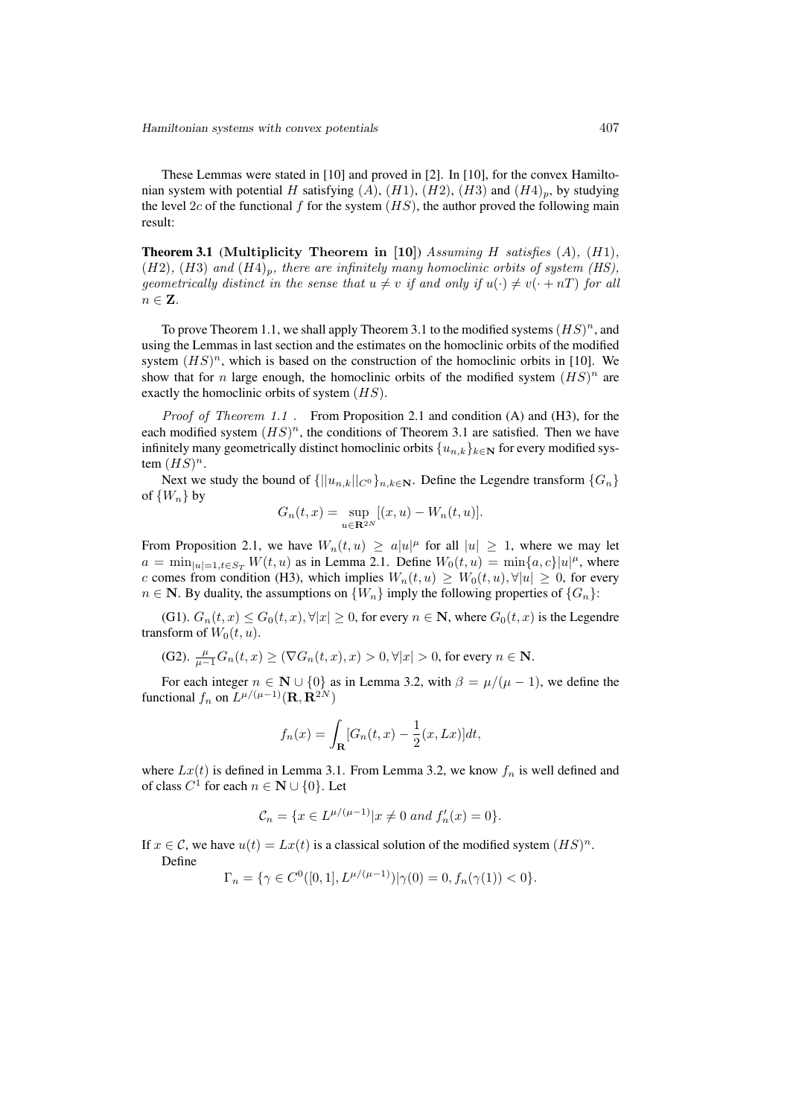These Lemmas were stated in [10] and proved in [2]. In [10], for the convex Hamiltonian system with potential H satisfying  $(A)$ ,  $(H1)$ ,  $(H2)$ ,  $(H3)$  and  $(H4)_p$ , by studying the level 2c of the functional f for the system  $(HS)$ , the author proved the following main result:

**Theorem 3.1** (Multiplicity Theorem in [10]) Assuming H satisfies  $(A)$ ,  $(H1)$ ,  $(H2)$ ,  $(H3)$  and  $(H4)_p$ , there are infinitely many homoclinic orbits of system (HS), geometrically distinct in the sense that  $u \neq v$  if and only if  $u(\cdot) \neq v(\cdot + nT)$  for all  $n \in \mathbf{Z}$ .

To prove Theorem 1.1, we shall apply Theorem 3.1 to the modified systems  $(HS)^n$ , and using the Lemmas in last section and the estimates on the homoclinic orbits of the modified system  $(HS)^n$ , which is based on the construction of the homoclinic orbits in [10]. We show that for *n* large enough, the homoclinic orbits of the modified system  $(HS)^n$  are exactly the homoclinic orbits of system  $(HS)$ .

Proof of Theorem 1.1 . From Proposition 2.1 and condition (A) and (H3), for the each modified system  $(HS)^n$ , the conditions of Theorem 3.1 are satisfied. Then we have infinitely many geometrically distinct homoclinic orbits  $\{u_{n,k}\}_{k\in\mathbb{N}}$  for every modified system  $(HS)^n$ .

Next we study the bound of  $\{||u_{n,k}||_{C^0}\}_{n,k\in\mathbb{N}}$ . Define the Legendre transform  $\{G_n\}$ of  $\{W_n\}$  by

$$
G_n(t, x) = \sup_{u \in \mathbf{R}^{2N}} [(x, u) - W_n(t, u)].
$$

From Proposition 2.1, we have  $W_n(t, u) \geq a|u|^{\mu}$  for all  $|u| \geq 1$ , where we may let  $a = \min_{|u|=1, t \in S_T} W(t, u)$  as in Lemma 2.1. Define  $W_0(t, u) = \min\{a, c\}|u|^{\mu}$ , where c comes from condition (H3), which implies  $W_n(t, u) \geq W_0(t, u), \forall |u| \geq 0$ , for every  $n \in \mathbb{N}$ . By duality, the assumptions on  $\{W_n\}$  imply the following properties of  $\{G_n\}$ :

(G1).  $G_n(t, x) \leq G_0(t, x), \forall |x| \geq 0$ , for every  $n \in \mathbb{N}$ , where  $G_0(t, x)$  is the Legendre transform of  $W_0(t, u)$ .

(G2). 
$$
\frac{\mu}{\mu-1}G_n(t,x) \geq (\nabla G_n(t,x),x) > 0, \forall |x| > 0
$$
, for every  $n \in \mathbb{N}$ .

For each integer  $n \in \mathbb{N} \cup \{0\}$  as in Lemma 3.2, with  $\beta = \mu/(\mu - 1)$ , we define the functional  $f_n$  on  $L^{\mu/(\mu-1)}(\mathbf{R}, \mathbf{R}^{2N})$ 

$$
f_n(x) = \int_{\mathbf{R}} [G_n(t,x) - \frac{1}{2}(x,Lx)]dt,
$$

where  $Lx(t)$  is defined in Lemma 3.1. From Lemma 3.2, we know  $f_n$  is well defined and of class  $C^1$  for each  $n \in \mathbb{N} \cup \{0\}$ . Let

$$
\mathcal{C}_n = \{ x \in L^{\mu/(\mu - 1)} | x \neq 0 \text{ and } f'_n(x) = 0 \}.
$$

If  $x \in \mathcal{C}$ , we have  $u(t) = Lx(t)$  is a classical solution of the modified system  $(HS)^n$ . Define

$$
\Gamma_n = \{ \gamma \in C^0([0,1], L^{\mu/(\mu-1)}) | \gamma(0) = 0, f_n(\gamma(1)) < 0 \}.
$$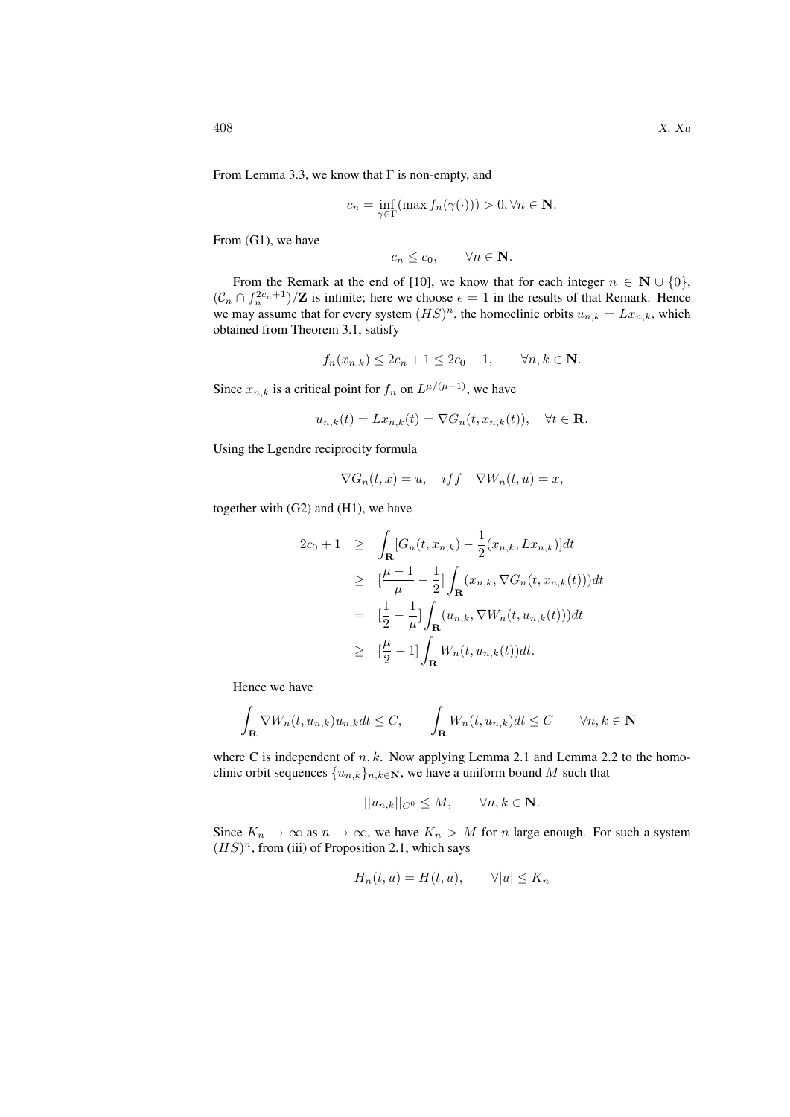From Lemma 3.3, we know that  $\Gamma$  is non-empty, and

$$
c_n = \inf_{\gamma \in \Gamma} (\max f_n(\gamma(\cdot))) > 0, \forall n \in \mathbf{N}.
$$

From (G1), we have

$$
c_n \leq c_0, \qquad \forall n \in \mathbf{N}.
$$

From the Remark at the end of [10], we know that for each integer  $n \in \mathbb{N} \cup \{0\}$ ,  $(\mathcal{C}_n \cap f_n^{2c_n+1})/\mathbf{Z}$  is infinite; here we choose  $\epsilon = 1$  in the results of that Remark. Hence we may assume that for every system  $(HS)^n$ , the homoclinic orbits  $u_{n,k} = Lx_{n,k}$ , which obtained from Theorem 3.1, satisfy

$$
f_n(x_{n,k}) \le 2c_n + 1 \le 2c_0 + 1, \qquad \forall n, k \in \mathbb{N}.
$$

Since  $x_{n,k}$  is a critical point for  $f_n$  on  $L^{\mu/(\mu-1)}$ , we have

$$
u_{n,k}(t) = Lx_{n,k}(t) = \nabla G_n(t, x_{n,k}(t)), \quad \forall t \in \mathbf{R}.
$$

Using the Lgendre reciprocity formula

$$
\nabla G_n(t, x) = u, \quad if f \quad \nabla W_n(t, u) = x,
$$

together with (G2) and (H1), we have

$$
2c_0 + 1 \geq \int_{\mathbf{R}} [G_n(t, x_{n,k}) - \frac{1}{2} (x_{n,k}, Lx_{n,k})] dt
$$
  
\n
$$
\geq [\frac{\mu - 1}{\mu} - \frac{1}{2}] \int_{\mathbf{R}} (x_{n,k}, \nabla G_n(t, x_{n,k}(t))) dt
$$
  
\n
$$
= [\frac{1}{2} - \frac{1}{\mu}] \int_{\mathbf{R}} (u_{n,k}, \nabla W_n(t, u_{n,k}(t))) dt
$$
  
\n
$$
\geq [\frac{\mu}{2} - 1] \int_{\mathbf{R}} W_n(t, u_{n,k}(t)) dt.
$$

Hence we have

$$
\int_{\mathbf{R}} \nabla W_n(t, u_{n,k}) u_{n,k} dt \le C, \qquad \int_{\mathbf{R}} W_n(t, u_{n,k}) dt \le C \qquad \forall n, k \in \mathbf{N}
$$

where C is independent of  $n, k$ . Now applying Lemma 2.1 and Lemma 2.2 to the homoclinic orbit sequences  $\{u_{n,k}\}_{n,k\in\mathbb{N}}$ , we have a uniform bound M such that

$$
||u_{n,k}||_{C^0} \le M, \qquad \forall n,k \in \mathbf{N}.
$$

Since  $K_n \to \infty$  as  $n \to \infty$ , we have  $K_n > M$  for n large enough. For such a system  $(HS)^n$ , from (iii) of Proposition 2.1, which says

$$
H_n(t, u) = H(t, u), \qquad \forall |u| \le K_n
$$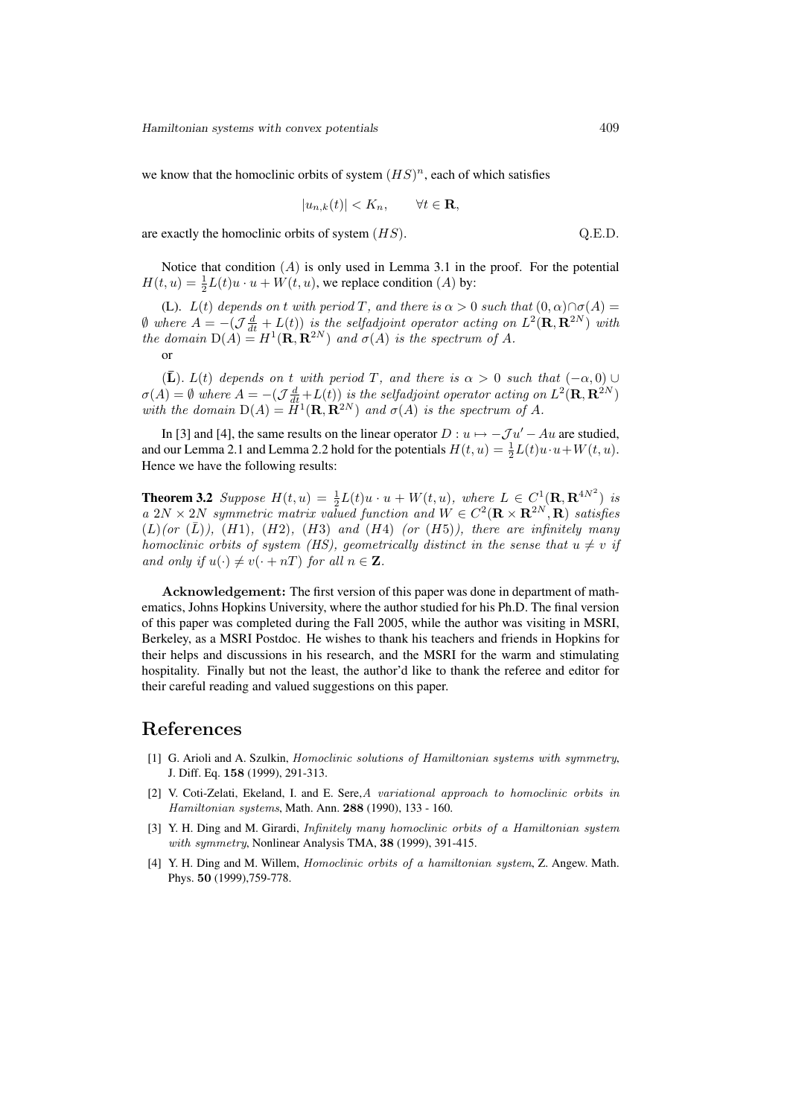we know that the homoclinic orbits of system  $(HS)^n$ , each of which satisfies

$$
|u_{n,k}(t)| < K_n, \qquad \forall t \in \mathbf{R},
$$

are exactly the homoclinic orbits of system  $(HS)$ .  $Q.E.D.$ 

Notice that condition  $(A)$  is only used in Lemma 3.1 in the proof. For the potential  $H(t, u) = \frac{1}{2}L(t)u \cdot u + W(t, u)$ , we replace condition (A) by:

(L).  $L(t)$  depends on t with period T, and there is  $\alpha > 0$  such that  $(0, \alpha) \cap \sigma(A) =$  $\emptyset$  where  $A = -(\mathcal{J}\frac{d}{dt} + L(t))$  is the selfadjoint operator acting on  $L^2(\mathbf{R}, \mathbf{R}^{2N})$  with the domain  $D(A) = H^1(\mathbf{R}, \mathbf{R}^{2N})$  and  $\sigma(A)$  is the spectrum of A. or

 $(\bar{\mathbf{L}})$ .  $L(t)$  depends on t with period T, and there is  $\alpha > 0$  such that  $(-\alpha, 0) \cup$  $\sigma(A) = \emptyset$  where  $A = -(\mathcal{J}\frac{d}{dt} + L(t))$  is the selfadjoint operator acting on  $L^2(\mathbf{R}, \mathbf{R}^{2N})$ with the domain  $D(A) = \tilde{H}^1(\mathbf{R}, \mathbf{R}^{2N})$  and  $\sigma(A)$  is the spectrum of A.

In [3] and [4], the same results on the linear operator  $D : u \mapsto -\mathcal{J}u' - Au$  are studied, and our Lemma 2.1 and Lemma 2.2 hold for the potentials  $H(t, u) = \frac{1}{2}L(t)u \cdot u + W(t, u)$ . Hence we have the following results:

**Theorem 3.2** Suppose  $H(t, u) = \frac{1}{2}L(t)u \cdot u + W(t, u)$ , where  $L \in C^1(\mathbf{R}, \mathbf{R}^{4N^2})$  is a 2N × 2N symmetric matrix valued function and  $W \in C^2(\mathbf{R} \times \mathbf{R}^{2N}, \mathbf{R})$  satisfies  $(L)(or (\overline{L})), (H1), (H2), (H3)$  and  $(H4)$  (or  $(H5)$ ), there are infinitely many homoclinic orbits of system (HS), geometrically distinct in the sense that  $u \neq v$  if and only if  $u(\cdot) \neq v(\cdot + nT)$  for all  $n \in \mathbb{Z}$ .

Acknowledgement: The first version of this paper was done in department of mathematics, Johns Hopkins University, where the author studied for his Ph.D. The final version of this paper was completed during the Fall 2005, while the author was visiting in MSRI, Berkeley, as a MSRI Postdoc. He wishes to thank his teachers and friends in Hopkins for their helps and discussions in his research, and the MSRI for the warm and stimulating hospitality. Finally but not the least, the author'd like to thank the referee and editor for their careful reading and valued suggestions on this paper.

#### References

- [1] G. Arioli and A. Szulkin, Homoclinic solutions of Hamiltonian systems with symmetry, J. Diff. Eq. 158 (1999), 291-313.
- [2] V. Coti-Zelati, Ekeland, I. and E. Sere, A variational approach to homoclinic orbits in Hamiltonian systems, Math. Ann. 288 (1990), 133 - 160.
- [3] Y. H. Ding and M. Girardi, Infinitely many homoclinic orbits of a Hamiltonian system with symmetry, Nonlinear Analysis TMA, 38 (1999), 391-415.
- [4] Y. H. Ding and M. Willem, Homoclinic orbits of a hamiltonian system, Z. Angew. Math. Phys. 50 (1999),759-778.